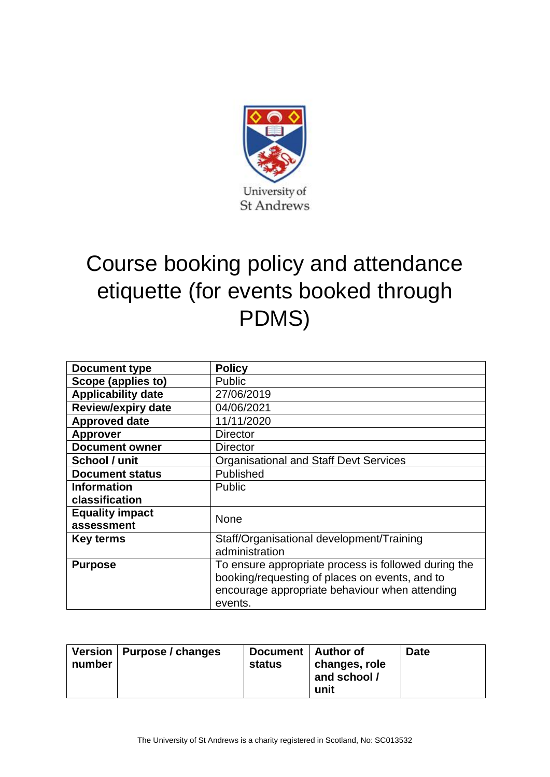

## Course booking policy and attendance etiquette (for events booked through PDMS)

| <b>Document type</b>      | <b>Policy</b>                                        |  |
|---------------------------|------------------------------------------------------|--|
| Scope (applies to)        | <b>Public</b>                                        |  |
| <b>Applicability date</b> | 27/06/2019                                           |  |
| <b>Review/expiry date</b> | 04/06/2021                                           |  |
| <b>Approved date</b>      | 11/11/2020                                           |  |
| <b>Approver</b>           | <b>Director</b>                                      |  |
| <b>Document owner</b>     | <b>Director</b>                                      |  |
| School / unit             | <b>Organisational and Staff Devt Services</b>        |  |
| <b>Document status</b>    | Published                                            |  |
| <b>Information</b>        | <b>Public</b>                                        |  |
| classification            |                                                      |  |
| <b>Equality impact</b>    | None                                                 |  |
| assessment                |                                                      |  |
| Key terms                 | Staff/Organisational development/Training            |  |
|                           | administration                                       |  |
| <b>Purpose</b>            | To ensure appropriate process is followed during the |  |
|                           | booking/requesting of places on events, and to       |  |
|                           | encourage appropriate behaviour when attending       |  |
|                           | events.                                              |  |

| number | Version   Purpose / changes | Document   Author of<br>status | changes, role<br>and school /<br>unit | <b>Date</b> |
|--------|-----------------------------|--------------------------------|---------------------------------------|-------------|
|--------|-----------------------------|--------------------------------|---------------------------------------|-------------|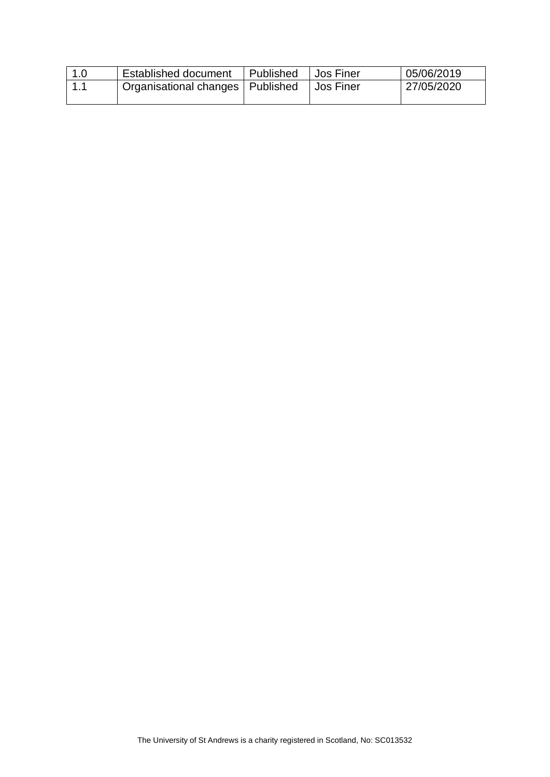| 1.0   | <b>Established document</b>        | Published | <b>Jos Finer</b> | 05/06/2019 |
|-------|------------------------------------|-----------|------------------|------------|
| ' 1.1 | Organisational changes   Published |           | ∣ Jos Finer      | 27/05/2020 |
|       |                                    |           |                  |            |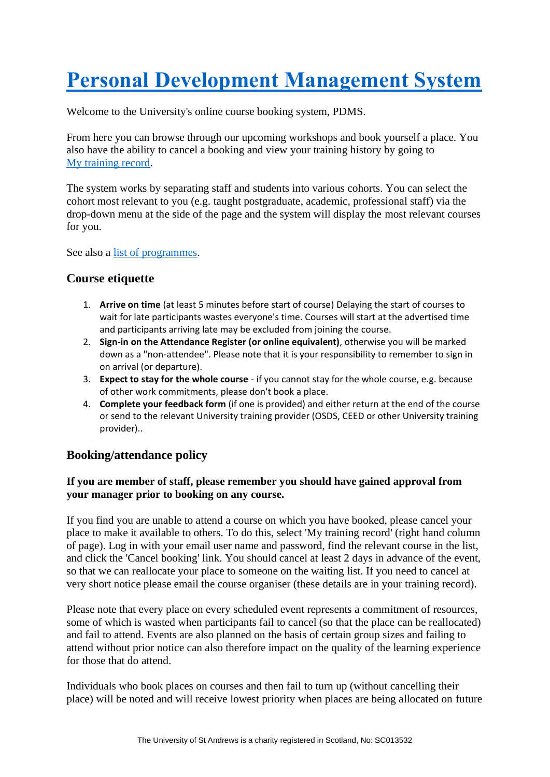# **[Personal Development Management System](https://www.st-andrews.ac.uk/pdms/index.php?Mode=Home)**

Welcome to the University's online course booking system, PDMS.

From here you can browse through our upcoming workshops and book yourself a place. You also have the ability to cancel a booking and view your training history by going to [My training record.](https://www.st-andrews.ac.uk/pdms/mycourses.php)

The system works by separating staff and students into various cohorts. You can select the cohort most relevant to you (e.g. taught postgraduate, academic, professional staff) via the drop-down menu at the side of the page and the system will display the most relevant courses for you.

See also a [list of programmes.](https://www.st-andrews.ac.uk/pdms/programmes.php)

#### **Course etiquette**

- 1. **Arrive on time** (at least 5 minutes before start of course) Delaying the start of courses to wait for late participants wastes everyone's time. Courses will start at the advertised time and participants arriving late may be excluded from joining the course.
- 2. **Sign-in on the Attendance Register (or online equivalent)**, otherwise you will be marked down as a "non-attendee". Please note that it is your responsibility to remember to sign in on arrival (or departure).
- 3. **Expect to stay for the whole course** if you cannot stay for the whole course, e.g. because of other work commitments, please don't book a place.
- 4. **Complete your feedback form** (if one is provided) and either return at the end of the course or send to the relevant University training provider (OSDS, CEED or other University training provider)..

### **Booking/attendance policy**

#### **If you are member of staff, please remember you should have gained approval from your manager prior to booking on any course.**

If you find you are unable to attend a course on which you have booked, please cancel your place to make it available to others. To do this, select 'My training record' (right hand column of page). Log in with your email user name and password, find the relevant course in the list, and click the 'Cancel booking' link. You should cancel at least 2 days in advance of the event, so that we can reallocate your place to someone on the waiting list. If you need to cancel at very short notice please email the course organiser (these details are in your training record).

Please note that every place on every scheduled event represents a commitment of resources, some of which is wasted when participants fail to cancel (so that the place can be reallocated) and fail to attend. Events are also planned on the basis of certain group sizes and failing to attend without prior notice can also therefore impact on the quality of the learning experience for those that do attend.

Individuals who book places on courses and then fail to turn up (without cancelling their place) will be noted and will receive lowest priority when places are being allocated on future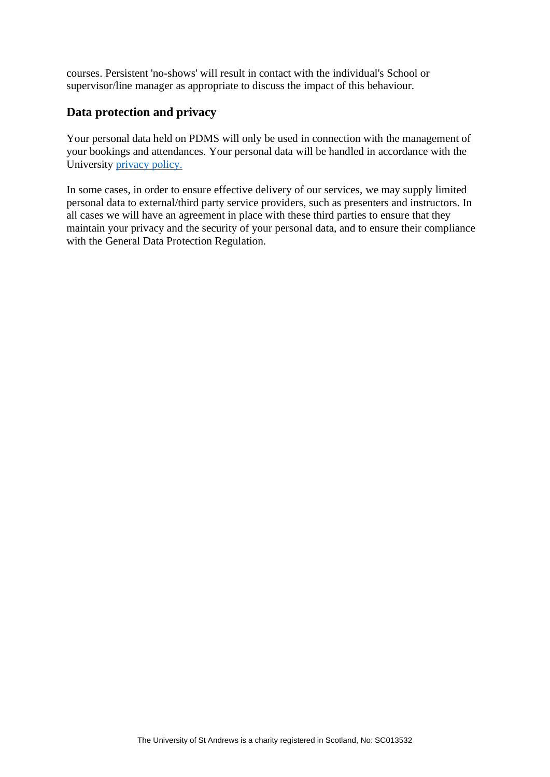courses. Persistent 'no-shows' will result in contact with the individual's School or supervisor/line manager as appropriate to discuss the impact of this behaviour.

### **Data protection and privacy**

Your personal data held on PDMS will only be used in connection with the management of your bookings and attendances. Your personal data will be handled in accordance with the University [privacy policy.](https://www.st-andrews.ac.uk/terms/data-protection/employee-data/)

In some cases, in order to ensure effective delivery of our services, we may supply limited personal data to external/third party service providers, such as presenters and instructors. In all cases we will have an agreement in place with these third parties to ensure that they maintain your privacy and the security of your personal data, and to ensure their compliance with the General Data Protection Regulation.